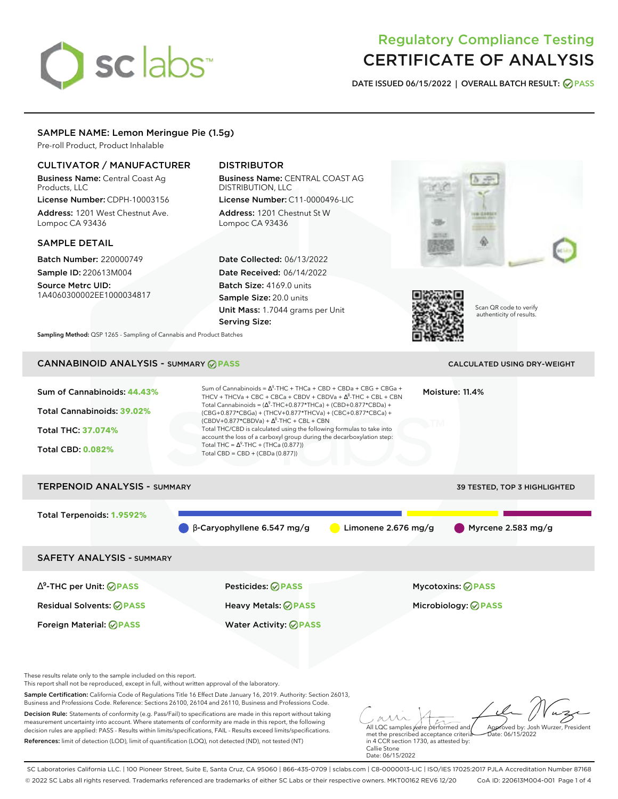# sclabs<sup>\*</sup>

# Regulatory Compliance Testing CERTIFICATE OF ANALYSIS

**DATE ISSUED 06/15/2022 | OVERALL BATCH RESULT: PASS**

# SAMPLE NAME: Lemon Meringue Pie (1.5g)

Pre-roll Product, Product Inhalable

# CULTIVATOR / MANUFACTURER

Business Name: Central Coast Ag Products, LLC

License Number: CDPH-10003156 Address: 1201 West Chestnut Ave. Lompoc CA 93436

# SAMPLE DETAIL

Batch Number: 220000749 Sample ID: 220613M004 Source Metrc UID: 1A4060300002EE1000034817

# DISTRIBUTOR

Business Name: CENTRAL COAST AG DISTRIBUTION, LLC License Number: C11-0000496-LIC

Address: 1201 Chestnut St W Lompoc CA 93436

Date Collected: 06/13/2022 Date Received: 06/14/2022 Batch Size: 4169.0 units Sample Size: 20.0 units Unit Mass: 1.7044 grams per Unit Serving Size:





Scan QR code to verify authenticity of results.

**Sampling Method:** QSP 1265 - Sampling of Cannabis and Product Batches

# CANNABINOID ANALYSIS - SUMMARY **PASS** CALCULATED USING DRY-WEIGHT

| Sum of Cannabinoids: 44.43%<br>Total Cannabinoids: 39.02%<br><b>Total THC: 37.074%</b><br><b>Total CBD: 0.082%</b> | Sum of Cannabinoids = $\Delta^9$ -THC + THCa + CBD + CBDa + CBG + CBGa +<br>THCV + THCVa + CBC + CBCa + CBDV + CBDVa + $\Delta^8$ -THC + CBL + CBN<br>Total Cannabinoids = $(\Delta^9$ -THC+0.877*THCa) + (CBD+0.877*CBDa) +<br>(CBG+0.877*CBGa) + (THCV+0.877*THCVa) + (CBC+0.877*CBCa) +<br>$(CBDV+0.877*CBDVa) + \Delta^8$ -THC + CBL + CBN<br>Total THC/CBD is calculated using the following formulas to take into<br>account the loss of a carboxyl group during the decarboxylation step:<br>Total THC = $\Delta^9$ -THC + (THCa (0.877))<br>Total CBD = $CBD + (CBDa (0.877))$ |                       | Moisture: 11.4%                                        |
|--------------------------------------------------------------------------------------------------------------------|----------------------------------------------------------------------------------------------------------------------------------------------------------------------------------------------------------------------------------------------------------------------------------------------------------------------------------------------------------------------------------------------------------------------------------------------------------------------------------------------------------------------------------------------------------------------------------------|-----------------------|--------------------------------------------------------|
| <b>TERPENOID ANALYSIS - SUMMARY</b>                                                                                |                                                                                                                                                                                                                                                                                                                                                                                                                                                                                                                                                                                        |                       | 39 TESTED, TOP 3 HIGHLIGHTED                           |
| Total Terpenoids: 1.9592%                                                                                          | $\beta$ -Caryophyllene 6.547 mg/g                                                                                                                                                                                                                                                                                                                                                                                                                                                                                                                                                      | Limonene $2.676$ mg/g | Myrcene $2.583$ mg/g                                   |
| <b>SAFETY ANALYSIS - SUMMARY</b>                                                                                   |                                                                                                                                                                                                                                                                                                                                                                                                                                                                                                                                                                                        |                       |                                                        |
| $\Delta^9$ -THC per Unit: $\bigcirc$ PASS<br><b>Residual Solvents: ⊘PASS</b><br>Foreign Material: <b>⊘ PASS</b>    | Pesticides: ⊘PASS<br>Heavy Metals: <b>⊘</b> PASS<br><b>Water Activity: ◎ PASS</b>                                                                                                                                                                                                                                                                                                                                                                                                                                                                                                      |                       | <b>Mycotoxins: ⊘PASS</b><br>Microbiology: <b>⊘PASS</b> |

These results relate only to the sample included on this report.

This report shall not be reproduced, except in full, without written approval of the laboratory.

Sample Certification: California Code of Regulations Title 16 Effect Date January 16, 2019. Authority: Section 26013, Business and Professions Code. Reference: Sections 26100, 26104 and 26110, Business and Professions Code.

Decision Rule: Statements of conformity (e.g. Pass/Fail) to specifications are made in this report without taking measurement uncertainty into account. Where statements of conformity are made in this report, the following decision rules are applied: PASS - Results within limits/specifications, FAIL - Results exceed limits/specifications. References: limit of detection (LOD), limit of quantification (LOQ), not detected (ND), not tested (NT)

All LQC samples were performed and Approved by: Josh Wurzer, President Date: 06/15/2022

met the prescribed acceptance criteria in 4 CCR section 1730, as attested by: Callie Stone Date: 06/15/2022

SC Laboratories California LLC. | 100 Pioneer Street, Suite E, Santa Cruz, CA 95060 | 866-435-0709 | sclabs.com | C8-0000013-LIC | ISO/IES 17025:2017 PJLA Accreditation Number 87168 © 2022 SC Labs all rights reserved. Trademarks referenced are trademarks of either SC Labs or their respective owners. MKT00162 REV6 12/20 CoA ID: 220613M004-001 Page 1 of 4